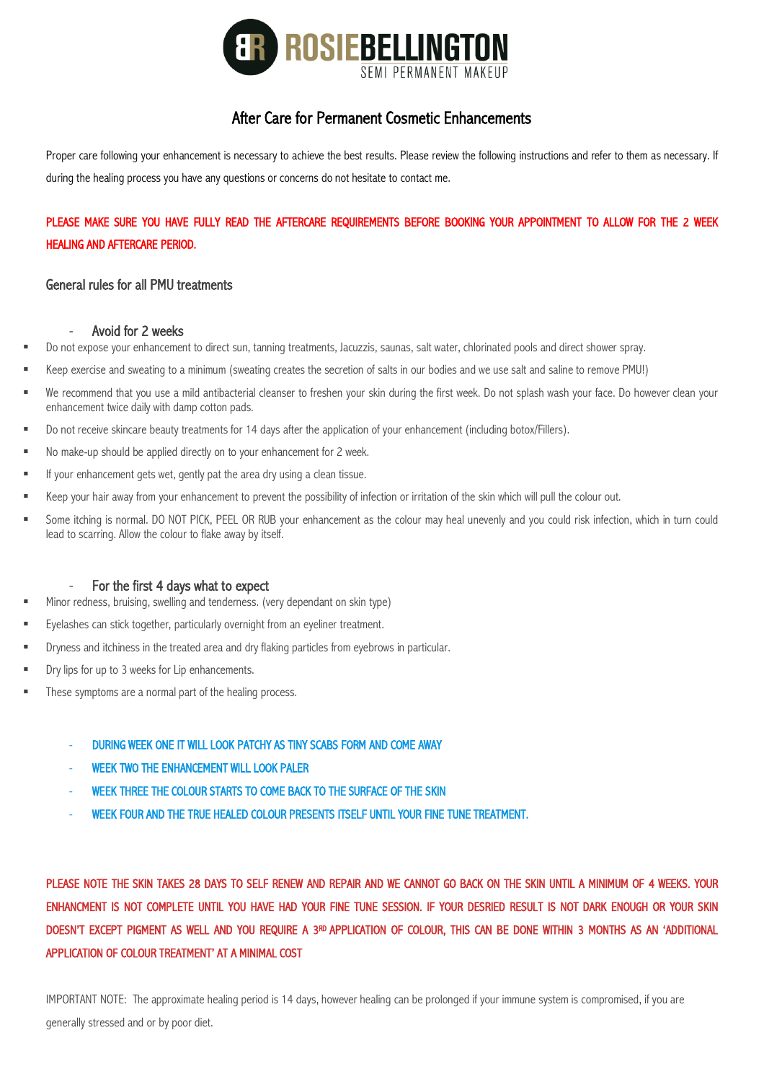

# After Care for Permanent Cosmetic Enhancements

Proper care following your enhancement is necessary to achieve the best results. Please review the following instructions and refer to them as necessary. If during the healing process you have any questions or concerns do not hesitate to contact me.

# PLEASE MAKE SURE YOU HAVE FULLY READ THE AFTERCARE REQUIREMENTS BEFORE BOOKING YOUR APPOINTMENT TO ALLOW FOR THE 2 WEEK HEALING AND AFTERCARE PERIOD.

## General rules for all PMU treatments

### Avoid for 2 weeks

- Do not expose your enhancement to direct sun, tanning treatments, Jacuzzis, saunas, salt water, chlorinated pools and direct shower spray.
- § Keep exercise and sweating to a minimum (sweating creates the secretion of salts in our bodies and we use salt and saline to remove PMU!)
- We recommend that you use a mild antibacterial cleanser to freshen your skin during the first week. Do not splash wash your face. Do however clean your enhancement twice daily with damp cotton pads.
- Do not receive skincare beauty treatments for 14 days after the application of your enhancement (including botox/Fillers).
- No make-up should be applied directly on to your enhancement for 2 week.
- If your enhancement gets wet, gently pat the area dry using a clean tissue.
- Keep your hair away from your enhancement to prevent the possibility of infection or irritation of the skin which will pull the colour out.
- Some itching is normal. DO NOT PICK, PEEL OR RUB your enhancement as the colour may heal unevenly and you could risk infection, which in turn could lead to scarring. Allow the colour to flake away by itself.

## For the first 4 days what to expect

- § Minor redness, bruising, swelling and tenderness. (very dependant on skin type)
- Eyelashes can stick together, particularly overnight from an eyeliner treatment.
- Dryness and itchiness in the treated area and dry flaking particles from eyebrows in particular.
- Dry lips for up to 3 weeks for Lip enhancements.
- These symptoms are a normal part of the healing process.
	- DURING WEEK ONE IT WILL LOOK PATCHY AS TINY SCABS FORM AND COME AWAY
	- WEEK TWO THE ENHANCEMENT WILL LOOK PALER
	- WEEK THREE THE COLOUR STARTS TO COME BACK TO THE SURFACE OF THE SKIN
	- WEEK FOUR AND THE TRUE HEALED COLOUR PRESENTS ITSELF UNTIL YOUR FINE TUNE TREATMENT.

PLEASE NOTE THE SKIN TAKES 28 DAYS TO SELF RENEW AND REPAIR AND WE CANNOT GO BACK ON THE SKIN UNTIL A MINIMUM OF 4 WEEKS. YOUR ENHANCMENT IS NOT COMPLETE UNTIL YOU HAVE HAD YOUR FINE TUNE SESSION. IF YOUR DESRIED RESULT IS NOT DARK ENOUGH OR YOUR SKIN DOESN'T EXCEPT PIGMENT AS WELL AND YOU REQUIRE A 3RD APPLICATION OF COLOUR, THIS CAN BE DONE WITHIN 3 MONTHS AS AN 'ADDITIONAL APPLICATION OF COLOUR TREATMENT' AT A MINIMAL COST

IMPORTANT NOTE: The approximate healing period is 14 days, however healing can be prolonged if your immune system is compromised, if you are generally stressed and or by poor diet.